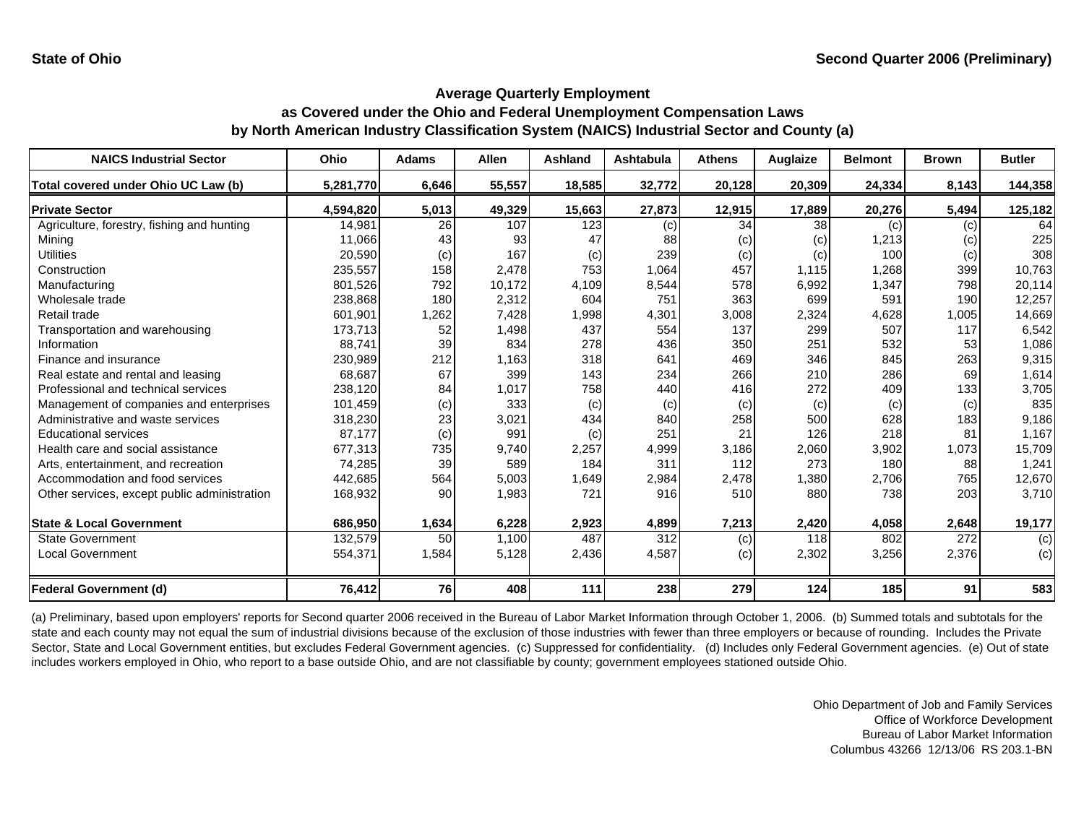| <b>NAICS Industrial Sector</b>               | Ohio      | <b>Adams</b> | <b>Allen</b> | <b>Ashland</b> | <b>Ashtabula</b> | <b>Athens</b> | Auglaize | <b>Belmont</b> | <b>Brown</b> | <b>Butler</b> |
|----------------------------------------------|-----------|--------------|--------------|----------------|------------------|---------------|----------|----------------|--------------|---------------|
| Total covered under Ohio UC Law (b)          | 5,281,770 | 6,646        | 55,557       | 18,585         | 32,772           | 20,128        | 20,309   | 24,334         | 8,143        | 144,358       |
| <b>Private Sector</b>                        | 4,594,820 | 5,013        | 49,329       | 15,663         | 27,873           | 12,915        | 17,889   | 20,276         | 5,494        | 125,182       |
| Agriculture, forestry, fishing and hunting   | 14,981    | 26           | 107          | 123            | (c)              | 34            | 38       | (c)            | (c)          | 64            |
| Mining                                       | 11,066    | 43           | 93           | 47             | 88               | (c)           | (c)      | 1,213          | (c)          | 225           |
| <b>Utilities</b>                             | 20,590    | (c)          | 167          | (c)            | 239              | (c)           | (c)      | 100            | (c)          | 308           |
| Construction                                 | 235,557   | 158          | 2,478        | 753            | 1,064            | 457           | 1,115    | 1,268          | 399          | 10,763        |
| Manufacturing                                | 801,526   | 792          | 10,172       | 4,109          | 8,544            | 578           | 6,992    | 1,347          | 798          | 20,114        |
| Wholesale trade                              | 238,868   | 180          | 2,312        | 604            | 751              | 363           | 699      | 591            | 190          | 12,257        |
| Retail trade                                 | 601,901   | 1,262        | 7,428        | 1,998          | 4,301            | 3,008         | 2,324    | 4,628          | 1,005        | 14,669        |
| Transportation and warehousing               | 173,713   | 52           | 1,498        | 437            | 554              | 137           | 299      | 507            | 117          | 6,542         |
| Information                                  | 88,741    | 39           | 834          | 278            | 436              | 350           | 251      | 532            | 53           | 1,086         |
| Finance and insurance                        | 230,989   | 212          | 1,163        | 318            | 641              | 469           | 346      | 845            | 263          | 9,315         |
| Real estate and rental and leasing           | 68,687    | 67           | 399          | 143            | 234              | 266           | 210      | 286            | 69           | 1,614         |
| Professional and technical services          | 238,120   | 84           | 1,017        | 758            | 440              | 416           | 272      | 409            | 133          | 3,705         |
| Management of companies and enterprises      | 101,459   | (c)          | 333          | (c)            | (c)              | (c)           | (c)      | (c)            | (c)          | 835           |
| Administrative and waste services            | 318,230   | 23           | 3,021        | 434            | 840              | 258           | 500      | 628            | 183          | 9,186         |
| <b>Educational services</b>                  | 87,177    | (c)          | 991          | (c)            | 251              | 21            | 126      | 218            | 81           | 1,167         |
| Health care and social assistance            | 677,313   | 735          | 9,740        | 2,257          | 4,999            | 3,186         | 2,060    | 3,902          | 1,073        | 15,709        |
| Arts, entertainment, and recreation          | 74,285    | 39           | 589          | 184            | 311              | 112           | 273      | 180            | 88           | 1,241         |
| Accommodation and food services              | 442,685   | 564          | 5,003        | 1,649          | 2,984            | 2,478         | 1,380    | 2,706          | 765          | 12,670        |
| Other services, except public administration | 168,932   | 90           | 1,983        | 721            | 916              | 510           | 880      | 738            | 203          | 3,710         |
| <b>State &amp; Local Government</b>          | 686,950   | 1,634        | 6,228        | 2,923          | 4,899            | 7,213         | 2,420    | 4,058          | 2,648        | 19,177        |
| <b>State Government</b>                      | 132,579   | 50           | 1,100        | 487            | 312              | (c)           | 118      | 802            | 272          | (c)           |
| <b>Local Government</b>                      | 554,371   | 1,584        | 5,128        | 2,436          | 4,587            | (c)           | 2,302    | 3,256          | 2,376        | (c)           |
| Federal Government (d)                       | 76,412    | 76           | 408          | 111            | 238              | 279           | 124      | 185            | 91           | 583           |

(a) Preliminary, based upon employers' reports for Second quarter 2006 received in the Bureau of Labor Market Information through October 1, 2006. (b) Summed totals and subtotals for the state and each county may not equal the sum of industrial divisions because of the exclusion of those industries with fewer than three employers or because of rounding. Includes the Private Sector, State and Local Government entities, but excludes Federal Government agencies. (c) Suppressed for confidentiality. (d) Includes only Federal Government agencies. (e) Out of state includes workers employed in Ohio, who report to a base outside Ohio, and are not classifiable by county; government employees stationed outside Ohio.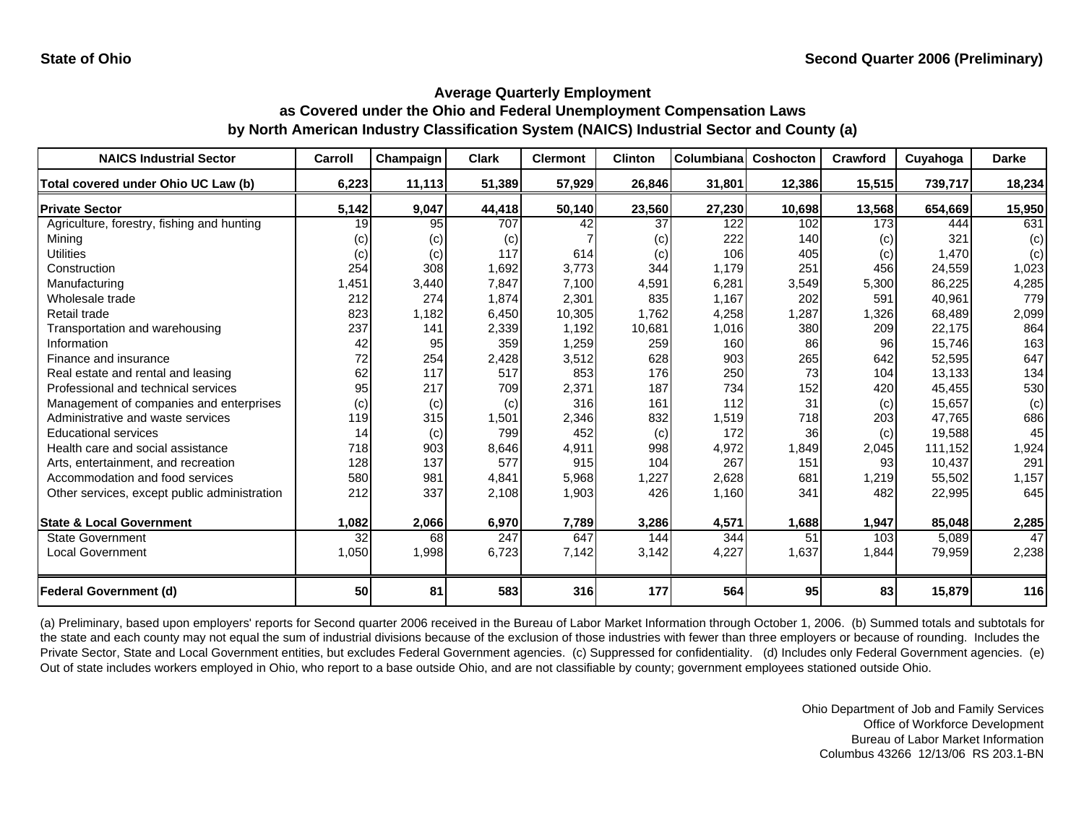| <b>NAICS Industrial Sector</b>               | Carroll | Champaign | <b>Clark</b> | <b>Clermont</b> | <b>Clinton</b> | Columbiana | Coshocton | Crawford | Cuyahoga | <b>Darke</b> |
|----------------------------------------------|---------|-----------|--------------|-----------------|----------------|------------|-----------|----------|----------|--------------|
| Total covered under Ohio UC Law (b)          | 6,223   | 11,113    | 51,389       | 57,929          | 26,846         | 31,801     | 12,386    | 15,515   | 739,717  | 18,234       |
| <b>Private Sector</b>                        | 5,142   | 9,047     | 44,418       | 50,140          | 23,560         | 27,230     | 10,698    | 13,568   | 654,669  | 15,950       |
| Agriculture, forestry, fishing and hunting   | 19      | 95        | 707          | 42              | 37             | 122        | 102       | 173      | 444      | 631          |
| Mining                                       | (c)     | (c)       | (c)          |                 | (c)            | 222        | 140       | (c)      | 321      | (c)          |
| <b>Utilities</b>                             | (c)     | (c)       | 117          | 614             | (c)            | 106        | 405       | (c)      | 1.470    | (c)          |
| Construction                                 | 254     | 308       | 1,692        | 3,773           | 344            | 1,179      | 251       | 456      | 24,559   | 1,023        |
| Manufacturing                                | 1,451   | 3,440     | 7,847        | 7,100           | 4,591          | 6,281      | 3,549     | 5,300    | 86,225   | 4,285        |
| Wholesale trade                              | 212     | 274       | 1,874        | 2,301           | 835            | 1,167      | 202       | 591      | 40,961   | 779          |
| Retail trade                                 | 823     | 1,182     | 6,450        | 10,305          | 1.762          | 4,258      | 1,287     | 1,326    | 68.489   | 2,099        |
| Transportation and warehousing               | 237     | 141       | 2,339        | 1,192           | 10,681         | 1,016      | 380       | 209      | 22,175   | 864          |
| Information                                  | 42      | 95        | 359          | 1,259           | 259            | 160        | 86        | 96       | 15.746   | 163          |
| Finance and insurance                        | 72      | 254       | 2,428        | 3,512           | 628            | 903        | 265       | 642      | 52,595   | 647          |
| Real estate and rental and leasing           | 62      | 117       | 517          | 853             | 176            | 250        | 73        | 104      | 13,133   | 134          |
| Professional and technical services          | 95      | 217       | 709          | 2,371           | 187            | 734        | 152       | 420      | 45,455   | 530          |
| Management of companies and enterprises      | (c)     | (c)       | (c)          | 316             | 161            | 112        | 31        | (c)      | 15,657   | (c)          |
| Administrative and waste services            | 119     | 315       | 1,501        | 2,346           | 832            | 1,519      | 718       | 203      | 47.765   | 686          |
| <b>Educational services</b>                  | 14      | (c)       | 799          | 452             | (c)            | 172        | 36        | (c)      | 19,588   | 45           |
| Health care and social assistance            | 718     | 903       | 8,646        | 4,911           | 998            | 4,972      | 1,849     | 2,045    | 111,152  | 1,924        |
| Arts, entertainment, and recreation          | 128     | 137       | 577          | 915             | 104            | 267        | 151       | 93       | 10.437   | 291          |
| Accommodation and food services              | 580     | 981       | 4,841        | 5,968           | 1,227          | 2,628      | 681       | 1,219    | 55,502   | 1,157        |
| Other services, except public administration | 212     | 337       | 2,108        | 1,903           | 426            | 1,160      | 341       | 482      | 22,995   | 645          |
|                                              |         |           |              |                 |                |            |           |          |          |              |
| <b>State &amp; Local Government</b>          | 1,082   | 2,066     | 6,970        | 7,789           | 3,286          | 4,571      | 1,688     | 1,947    | 85,048   | 2,285        |
| <b>State Government</b>                      | 32      | 68        | 247          | 647             | 144            | 344        | 51        | 103      | 5.089    | 47           |
| <b>Local Government</b>                      | 1,050   | 1,998     | 6,723        | 7,142           | 3,142          | 4,227      | 1,637     | 1,844    | 79,959   | 2,238        |
| <b>Federal Government (d)</b>                | 50      | 81        | 583          | 316             | 177            | 564        | 95        | 83       | 15,879   | 116          |

(a) Preliminary, based upon employers' reports for Second quarter 2006 received in the Bureau of Labor Market Information through October 1, 2006. (b) Summed totals and subtotals for the state and each county may not equal the sum of industrial divisions because of the exclusion of those industries with fewer than three employers or because of rounding. Includes the Private Sector, State and Local Government entities, but excludes Federal Government agencies. (c) Suppressed for confidentiality. (d) Includes only Federal Government agencies. (e) Out of state includes workers employed in Ohio, who report to a base outside Ohio, and are not classifiable by county; government employees stationed outside Ohio.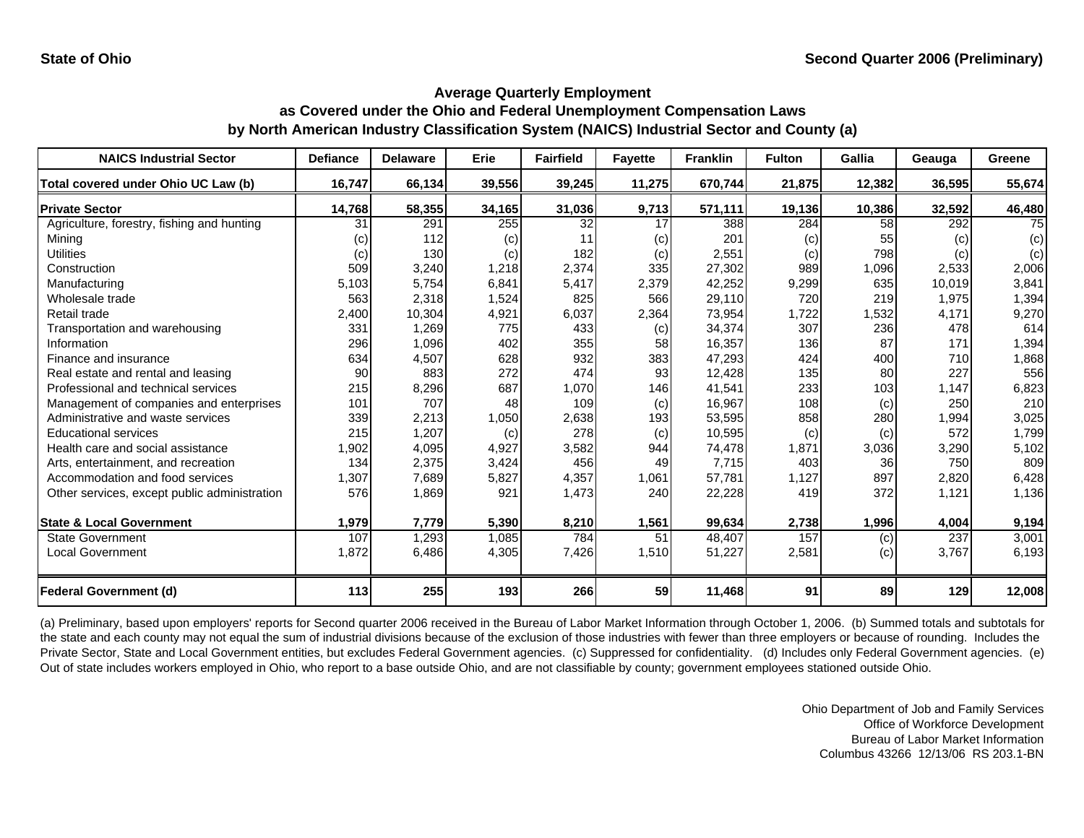| <b>NAICS Industrial Sector</b>               | <b>Defiance</b> | <b>Delaware</b> | Erie   | <b>Fairfield</b> | <b>Fayette</b> | <b>Franklin</b> | <b>Fulton</b> | Gallia | Geauga | Greene |
|----------------------------------------------|-----------------|-----------------|--------|------------------|----------------|-----------------|---------------|--------|--------|--------|
| Total covered under Ohio UC Law (b)          | 16,747          | 66,134          | 39,556 | 39,245           | 11,275         | 670,744         | 21,875        | 12,382 | 36,595 | 55,674 |
| <b>Private Sector</b>                        | 14,768          | 58,355          | 34,165 | 31,036           | 9,713          | 571,111         | 19,136        | 10,386 | 32,592 | 46,480 |
| Agriculture, forestry, fishing and hunting   | 31              | 291             | 255    | 32               | 17             | 388             | 284           | 58     | 292    | 75     |
| Mining                                       | (c)             | 112             | (c)    | 11               | (c)            | 201             | (c)           | 55     | (c)    | (c)    |
| <b>Utilities</b>                             | (c)             | 130             | (c)    | 182              | (c)            | 2,551           | (c)           | 798    | (c)    | (c)    |
| Construction                                 | 509             | 3,240           | 1,218  | 2,374            | 335            | 27,302          | 989           | 1,096  | 2,533  | 2,006  |
| Manufacturing                                | 5,103           | 5,754           | 6,841  | 5,417            | 2,379          | 42,252          | 9,299         | 635    | 10,019 | 3,841  |
| Wholesale trade                              | 563             | 2,318           | 1,524  | 825              | 566            | 29,110          | 720           | 219    | 1,975  | 1,394  |
| Retail trade                                 | 2,400           | 10,304          | 4,921  | 6,037            | 2,364          | 73,954          | 1,722         | 1,532  | 4,171  | 9,270  |
| Transportation and warehousing               | 331             | 1,269           | 775    | 433              | (c)            | 34,374          | 307           | 236    | 478    | 614    |
| Information                                  | 296             | 1,096           | 402    | 355              | 58             | 16,357          | 136           | 87     | 171    | 1,394  |
| Finance and insurance                        | 634             | 4,507           | 628    | 932              | 383            | 47,293          | 424           | 400    | 710    | 1,868  |
| Real estate and rental and leasing           | 90              | 883             | 272    | 474              | 93             | 12,428          | 135           | 80     | 227    | 556    |
| Professional and technical services          | 215             | 8,296           | 687    | 1,070            | 146            | 41,541          | 233           | 103    | 1,147  | 6,823  |
| Management of companies and enterprises      | 101             | 707             | 48     | 109              | (c)            | 16,967          | 108           | (c)    | 250    | 210    |
| Administrative and waste services            | 339             | 2,213           | 1,050  | 2,638            | 193            | 53,595          | 858           | 280    | 1,994  | 3,025  |
| <b>Educational services</b>                  | 215             | 1,207           | (c)    | 278              | (c)            | 10,595          | (c)           | (c)    | 572    | 1,799  |
| Health care and social assistance            | 1,902           | 4,095           | 4,927  | 3,582            | 944            | 74,478          | 1,871         | 3,036  | 3,290  | 5,102  |
| Arts, entertainment, and recreation          | 134             | 2,375           | 3,424  | 456              | 49             | 7,715           | 403           | 36     | 750    | 809    |
| Accommodation and food services              | 1,307           | 7,689           | 5,827  | 4,357            | 1,061          | 57,781          | 1,127         | 897    | 2,820  | 6,428  |
| Other services, except public administration | 576             | 1,869           | 921    | 1,473            | 240            | 22,228          | 419           | 372    | 1,121  | 1,136  |
|                                              |                 |                 |        |                  |                |                 |               |        |        |        |
| <b>State &amp; Local Government</b>          | 1,979           | 7,779           | 5,390  | 8,210            | 1,561          | 99,634          | 2,738         | 1,996  | 4,004  | 9,194  |
| <b>State Government</b>                      | 107             | 1,293           | 1,085  | 784              | 51             | 48,407          | 157           | (c)    | 237    | 3,001  |
| Local Government                             | 1,872           | 6,486           | 4,305  | 7,426            | 1,510          | 51,227          | 2,581         | (c)    | 3,767  | 6,193  |
|                                              |                 |                 |        |                  |                |                 |               |        |        |        |
| <b>Federal Government (d)</b>                | 113             | 255             | 193    | 266              | 59             | 11,468          | 91            | 89     | 129    | 12,008 |

(a) Preliminary, based upon employers' reports for Second quarter 2006 received in the Bureau of Labor Market Information through October 1, 2006. (b) Summed totals and subtotals for the state and each county may not equal the sum of industrial divisions because of the exclusion of those industries with fewer than three employers or because of rounding. Includes the Private Sector, State and Local Government entities, but excludes Federal Government agencies. (c) Suppressed for confidentiality. (d) Includes only Federal Government agencies. (e) Out of state includes workers employed in Ohio, who report to a base outside Ohio, and are not classifiable by county; government employees stationed outside Ohio.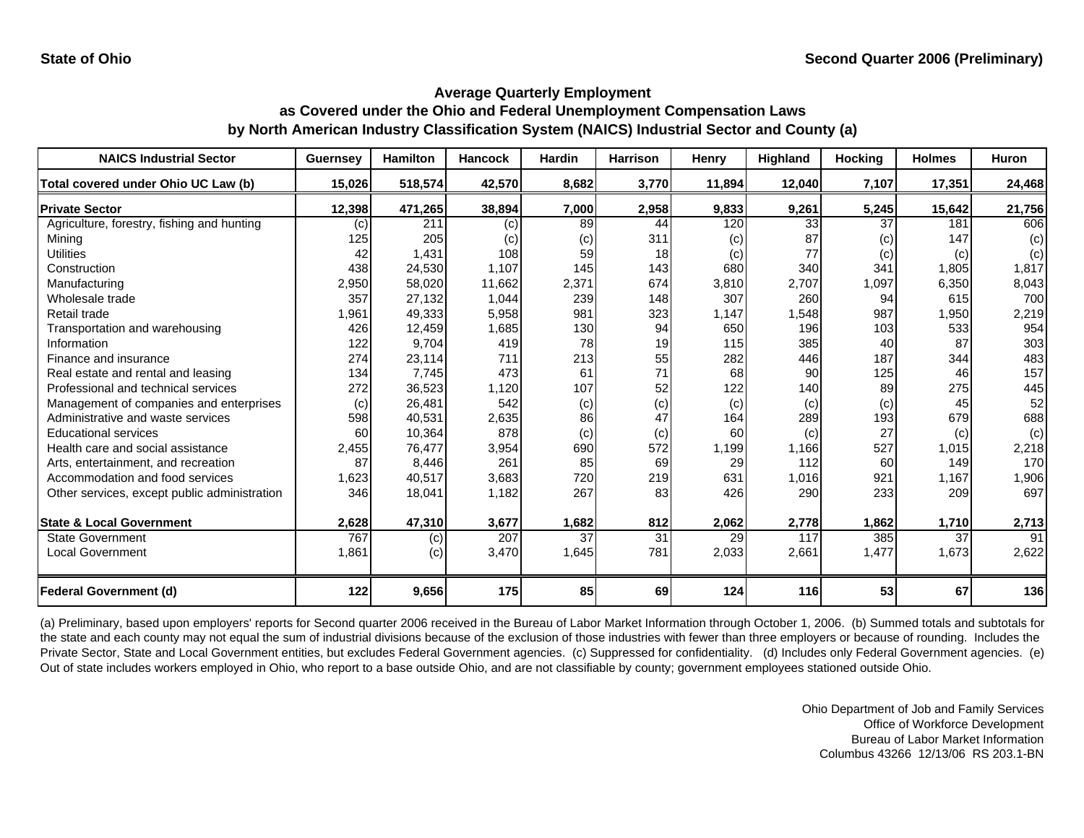| <b>NAICS Industrial Sector</b>               | Guernsey | <b>Hamilton</b> | <b>Hancock</b> | <b>Hardin</b> | <b>Harrison</b> | Henry  | <b>Highland</b> | <b>Hocking</b> | <b>Holmes</b> | <b>Huron</b> |
|----------------------------------------------|----------|-----------------|----------------|---------------|-----------------|--------|-----------------|----------------|---------------|--------------|
| Total covered under Ohio UC Law (b)          | 15,026   | 518,574         | 42,570         | 8,682         | 3,770           | 11,894 | 12,040          | 7,107          | 17,351        | 24,468       |
| <b>Private Sector</b>                        | 12,398   | 471,265         | 38,894         | 7,000         | 2,958           | 9,833  | 9,261           | 5,245          | 15,642        | 21,756       |
| Agriculture, forestry, fishing and hunting   | (c)      | 211             | (c)            | 89            | 44              | 120    | $\overline{33}$ | 37             | 181           | 606          |
| Minina                                       | 125      | 205             | (c)            | (c)           | 311             | (c)    | 87              | (c)            | 147           | (c)          |
| <b>Utilities</b>                             | 42       | 1,431           | 108            | 59            | 18              | (c)    | 77              | (c)            | (c)           | (c)          |
| Construction                                 | 438      | 24,530          | 1,107          | 145           | 143             | 680    | 340             | 341            | 1,805         | 1,817        |
| Manufacturing                                | 2,950    | 58,020          | 11,662         | 2,371         | 674             | 3,810  | 2,707           | 1,097          | 6,350         | 8,043        |
| Wholesale trade                              | 357      | 27,132          | 1,044          | 239           | 148             | 307    | 260             | 94             | 615           | 700          |
| Retail trade                                 | 1,961    | 49,333          | 5,958          | 981           | 323             | 1,147  | 1,548           | 987            | 1,950         | 2,219        |
| Transportation and warehousing               | 426      | 12,459          | 1,685          | 130           | 94              | 650    | 196             | 103            | 533           | 954          |
| Information                                  | 122      | 9,704           | 419            | 78            | 19              | 115    | 385             | 40             | 87            | 303          |
| Finance and insurance                        | 274      | 23,114          | 711            | 213           | 55              | 282    | 446             | 187            | 344           | 483          |
| Real estate and rental and leasing           | 134      | 7,745           | 473            | 61            | 71              | 68     | 90              | 125            | 46            | 157          |
| Professional and technical services          | 272      | 36,523          | 1,120          | 107           | 52              | 122    | 140             | 89             | 275           | 445          |
| Management of companies and enterprises      | (c)      | 26,481          | 542            | (c)           | (c)             | (c)    | (c)             | (c)            | 45            | 52           |
| Administrative and waste services            | 598      | 40,531          | 2,635          | 86            | 47              | 164    | 289             | 193            | 679           | 688          |
| <b>Educational services</b>                  | 60       | 10,364          | 878            | (c)           | (c)             | 60     | (c)             | 27             | (c)           | (c)          |
| Health care and social assistance            | 2,455    | 76,477          | 3,954          | 690           | 572             | 1,199  | 1,166           | 527            | 1,015         | 2,218        |
| Arts, entertainment, and recreation          | 87       | 8,446           | 261            | 85            | 69              | 29     | 112             | 60             | 149           | 170          |
| Accommodation and food services              | 1,623    | 40,517          | 3,683          | 720           | 219             | 631    | 1,016           | 921            | 1,167         | 1,906        |
| Other services, except public administration | 346      | 18,041          | 1,182          | 267           | 83              | 426    | 290             | 233            | 209           | 697          |
| <b>State &amp; Local Government</b>          | 2,628    | 47,310          | 3,677          | 1,682         | 812             | 2,062  | 2,778           | 1,862          | 1,710         | 2,713        |
| <b>State Government</b>                      | 767      | (c)             | 207            | 37            | $\overline{31}$ | 29     | 117             | 385            | 37            | 91           |
| <b>Local Government</b>                      | 1,861    | (c)             | 3,470          | 1,645         | 781             | 2,033  | 2,661           | 1,477          | 1,673         | 2,622        |
|                                              |          |                 |                |               |                 |        |                 |                |               |              |
| <b>Federal Government (d)</b>                | 122      | 9,656           | 175            | 85            | 69              | 124    | 116             | 53             | 67            | 136          |

(a) Preliminary, based upon employers' reports for Second quarter 2006 received in the Bureau of Labor Market Information through October 1, 2006. (b) Summed totals and subtotals for the state and each county may not equal the sum of industrial divisions because of the exclusion of those industries with fewer than three employers or because of rounding. Includes the Private Sector, State and Local Government entities, but excludes Federal Government agencies. (c) Suppressed for confidentiality. (d) Includes only Federal Government agencies. (e) Out of state includes workers employed in Ohio, who report to a base outside Ohio, and are not classifiable by county; government employees stationed outside Ohio.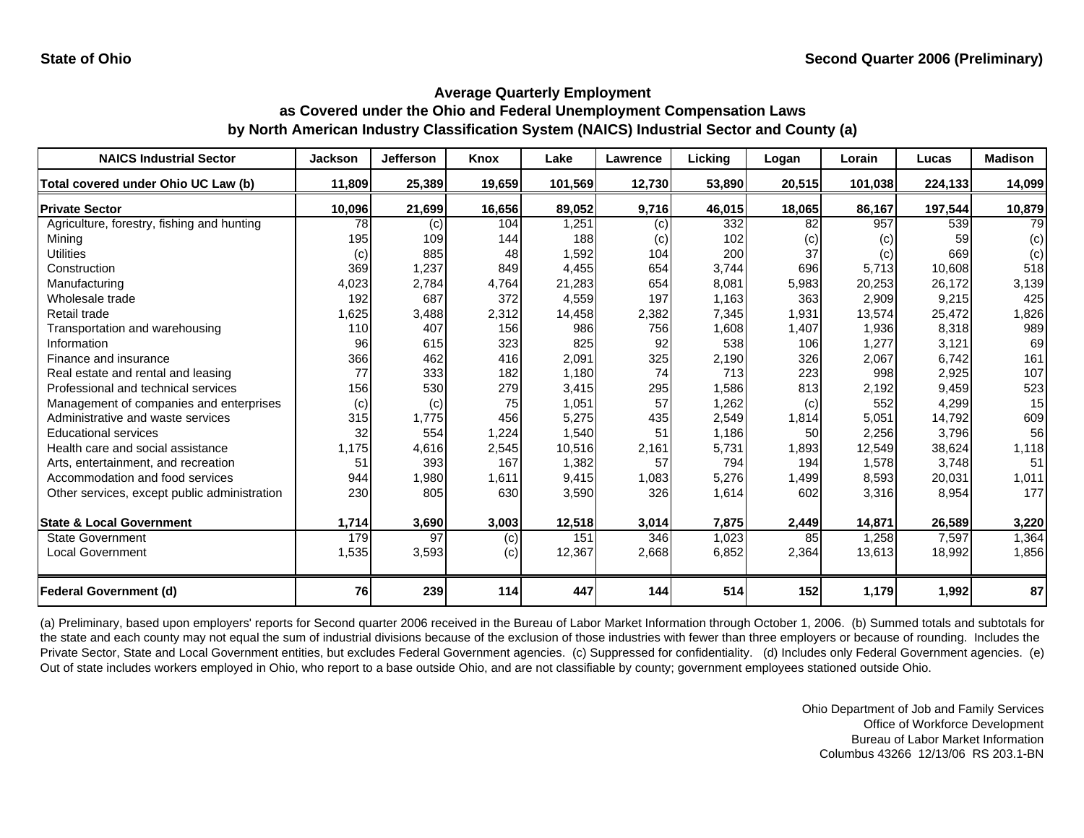| <b>NAICS Industrial Sector</b>               | <b>Jackson</b> | <b>Jefferson</b> | <b>Knox</b> | Lake    | <b>Lawrence</b> | Lickina | Logan  | Lorain  | Lucas   | <b>Madison</b> |
|----------------------------------------------|----------------|------------------|-------------|---------|-----------------|---------|--------|---------|---------|----------------|
| Total covered under Ohio UC Law (b)          | 11,809         | 25,389           | 19,659      | 101,569 | 12,730          | 53,890  | 20,515 | 101,038 | 224,133 | 14,099         |
| <b>Private Sector</b>                        | 10,096         | 21,699           | 16,656      | 89,052  | 9,716           | 46,015  | 18,065 | 86,167  | 197,544 | 10,879         |
| Agriculture, forestry, fishing and hunting   | 78             | (c)              | 104         | 1,251   | (c)             | 332     | 82     | 957     | 539     | 79             |
| Mining                                       | 195            | 109              | 144         | 188     | (c)             | 102     | (c)    | (c)     | 59      | (c)            |
| <b>Utilities</b>                             | (c)            | 885              | 48          | 1,592   | 104             | 200     | 37     | (c)     | 669     | (c)            |
| Construction                                 | 369            | 1,237            | 849         | 4,455   | 654             | 3,744   | 696    | 5,713   | 10,608  | 518            |
| Manufacturing                                | 4,023          | 2,784            | 4,764       | 21,283  | 654             | 8,081   | 5,983  | 20,253  | 26,172  | 3,139          |
| Wholesale trade                              | 192            | 687              | 372         | 4,559   | 197             | 1,163   | 363    | 2,909   | 9,215   | 425            |
| Retail trade                                 | 1,625          | 3,488            | 2,312       | 14,458  | 2,382           | 7,345   | 1,931  | 13,574  | 25,472  | 1,826          |
| Transportation and warehousing               | 110            | 407              | 156         | 986     | 756             | 1,608   | 1,407  | 1,936   | 8,318   | 989            |
| Information                                  | 96             | 615              | 323         | 825     | 92              | 538     | 106    | 1,277   | 3,121   | 69             |
| Finance and insurance                        | 366            | 462              | 416         | 2,091   | 325             | 2,190   | 326    | 2,067   | 6,742   | 161            |
| Real estate and rental and leasing           | 77             | 333              | 182         | 1,180   | 74              | 713     | 223    | 998     | 2,925   | 107            |
| Professional and technical services          | 156            | 530              | 279         | 3,415   | 295             | 1,586   | 813    | 2,192   | 9,459   | 523            |
| Management of companies and enterprises      | (c)            | (c)              | 75          | 1,051   | 57              | 1,262   | (c)    | 552     | 4,299   | 15             |
| Administrative and waste services            | 315            | 1,775            | 456         | 5,275   | 435             | 2,549   | 1,814  | 5,051   | 14,792  | 609            |
| <b>Educational services</b>                  | 32             | 554              | 1,224       | 1,540   | 51              | 1,186   | 50     | 2,256   | 3,796   | 56             |
| Health care and social assistance            | 1,175          | 4,616            | 2,545       | 10,516  | 2,161           | 5,731   | 1,893  | 12,549  | 38,624  | 1,118          |
| Arts, entertainment, and recreation          | 51             | 393              | 167         | 1,382   | 57              | 794     | 194    | 1,578   | 3,748   | 51             |
| Accommodation and food services              | 944            | 1,980            | 1,611       | 9,415   | 1,083           | 5,276   | 1,499  | 8,593   | 20,031  | 1,011          |
| Other services, except public administration | 230            | 805              | 630         | 3,590   | 326             | 1,614   | 602    | 3,316   | 8,954   | 177            |
|                                              |                |                  |             |         |                 |         |        |         |         |                |
| <b>State &amp; Local Government</b>          | 1,714          | 3,690            | 3,003       | 12,518  | 3,014           | 7,875   | 2,449  | 14,871  | 26,589  | 3,220          |
| <b>State Government</b>                      | 179            | 97               | (c)         | 151     | 346             | 1,023   | 85     | 1,258   | 7,597   | 1,364          |
| <b>Local Government</b>                      | 1,535          | 3,593            | (c)         | 12,367  | 2,668           | 6,852   | 2,364  | 13,613  | 18,992  | 1,856          |
| <b>Federal Government (d)</b>                | 76             | 239              | 114         | 447     | 144             | 514     | 152    | 1,179   | 1,992   | 87             |

(a) Preliminary, based upon employers' reports for Second quarter 2006 received in the Bureau of Labor Market Information through October 1, 2006. (b) Summed totals and subtotals for the state and each county may not equal the sum of industrial divisions because of the exclusion of those industries with fewer than three employers or because of rounding. Includes the Private Sector, State and Local Government entities, but excludes Federal Government agencies. (c) Suppressed for confidentiality. (d) Includes only Federal Government agencies. (e) Out of state includes workers employed in Ohio, who report to a base outside Ohio, and are not classifiable by county; government employees stationed outside Ohio.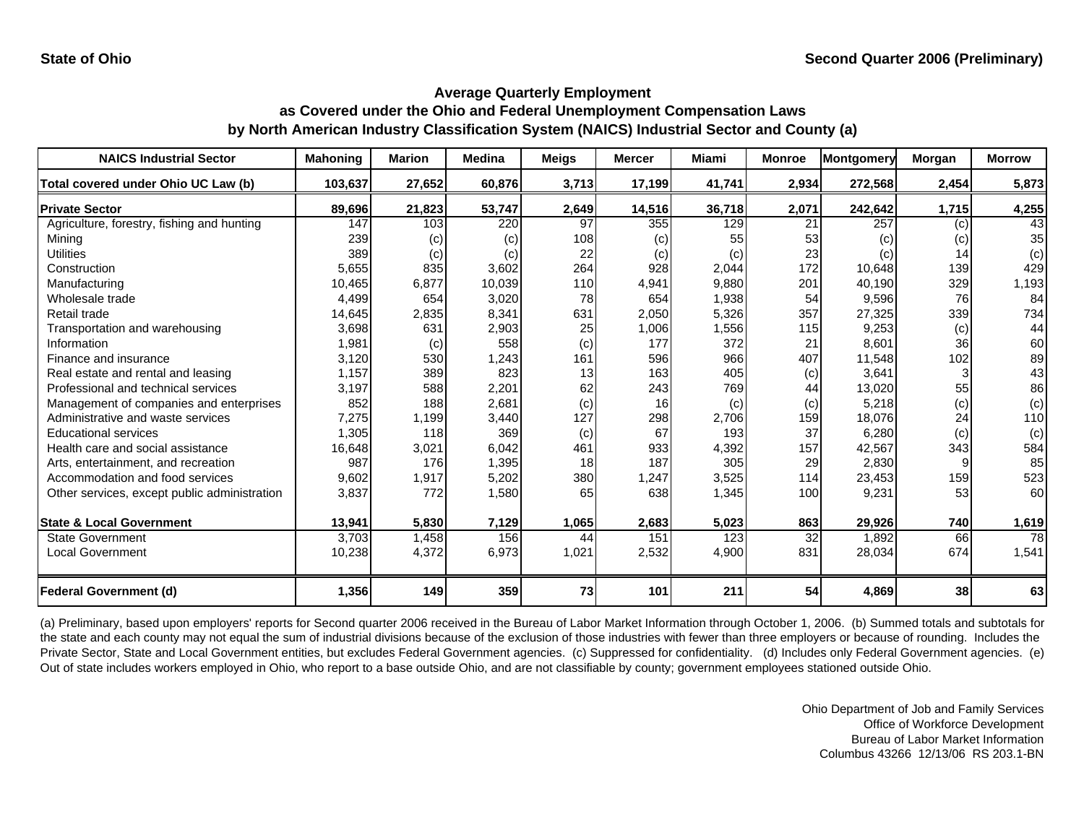| <b>NAICS Industrial Sector</b>               | <b>Mahoning</b> | <b>Marion</b> | <b>Medina</b> | Meigs | <b>Mercer</b> | <b>Miami</b> | <b>Monroe</b> | Montgomery | Morgan | <b>Morrow</b> |
|----------------------------------------------|-----------------|---------------|---------------|-------|---------------|--------------|---------------|------------|--------|---------------|
| Total covered under Ohio UC Law (b)          | 103,637         | 27,652        | 60.876        | 3,713 | 17,199        | 41,741       | 2,934         | 272,568    | 2,454  | 5,873         |
| <b>Private Sector</b>                        | 89,696          | 21,823        | 53,747        | 2,649 | 14,516        | 36,718       | 2,071         | 242,642    | 1,715  | 4,255         |
| Agriculture, forestry, fishing and hunting   | 147             | 103           | 220           | 97    | 355           | 129          | 21            | 257        | (c)    | 43            |
| Mining                                       | 239             | (c)           | (c)           | 108   | (c)           | 55           | 53            | (c)        | (c)    | 35            |
| <b>Utilities</b>                             | 389             | (c)           | (c)           | 22    | (c)           | (c)          | 23            | (c)        | 14     | (c)           |
| Construction                                 | 5,655           | 835           | 3,602         | 264   | 928           | 2,044        | 172           | 10,648     | 139    | 429           |
| Manufacturing                                | 10,465          | 6,877         | 10,039        | 110   | 4,941         | 9,880        | 201           | 40,190     | 329    | 1,193         |
| Wholesale trade                              | 4,499           | 654           | 3,020         | 78    | 654           | 1,938        | 54            | 9,596      | 76     | 84            |
| Retail trade                                 | 14,645          | 2,835         | 8,341         | 631   | 2,050         | 5,326        | 357           | 27,325     | 339    | 734           |
| Transportation and warehousing               | 3,698           | 631           | 2,903         | 25    | 1,006         | 1,556        | 115           | 9,253      | (c)    | 44            |
| Information                                  | 1,981           | (c)           | 558           | (c)   | 177           | 372          | 21            | 8,601      | 36     | 60            |
| Finance and insurance                        | 3,120           | 530           | 1,243         | 161   | 596           | 966          | 407           | 11,548     | 102    | 89            |
| Real estate and rental and leasing           | 1,157           | 389           | 823           | 13    | 163           | 405          | (c)           | 3,641      |        | 43            |
| Professional and technical services          | 3.197           | 588           | 2,201         | 62    | 243           | 769          | 44            | 13,020     | 55     | 86            |
| Management of companies and enterprises      | 852             | 188           | 2,681         | (c)   | 16            | (c)          | (c)           | 5,218      | (c)    | (c)           |
| Administrative and waste services            | 7,275           | 1,199         | 3,440         | 127   | 298           | 2,706        | 159           | 18,076     | 24     | 110           |
| <b>Educational services</b>                  | 1,305           | 118           | 369           | (c)   | 67            | 193          | 37            | 6,280      | (c)    | (c)           |
| Health care and social assistance            | 16,648          | 3,021         | 6,042         | 461   | 933           | 4,392        | 157           | 42,567     | 343    | 584           |
| Arts, entertainment, and recreation          | 987             | 176           | 1,395         | 18    | 187           | 305          | 29            | 2,830      |        | 85            |
| Accommodation and food services              | 9,602           | 1,917         | 5,202         | 380   | 1,247         | 3,525        | 114           | 23,453     | 159    | 523           |
| Other services, except public administration | 3,837           | 772           | 1,580         | 65    | 638           | 1,345        | 100           | 9,231      | 53     | 60            |
| <b>State &amp; Local Government</b>          | 13,941          | 5,830         | 7,129         | 1,065 | 2,683         | 5,023        | 863           | 29,926     | 740    | 1,619         |
| <b>State Government</b>                      | 3,703           | 1,458         | 156           | 44    | 151           | 123          | 32            | 1,892      | 66     | 78            |
| <b>Local Government</b>                      | 10,238          | 4,372         | 6,973         | 1,021 | 2,532         | 4,900        | 831           | 28,034     | 674    | 1,541         |
|                                              |                 |               |               |       |               |              |               |            |        |               |
| <b>Federal Government (d)</b>                | 1,356           | 149           | 359           | 73    | 101           | 211          | 54            | 4,869      | 38     | 63            |

(a) Preliminary, based upon employers' reports for Second quarter 2006 received in the Bureau of Labor Market Information through October 1, 2006. (b) Summed totals and subtotals for the state and each county may not equal the sum of industrial divisions because of the exclusion of those industries with fewer than three employers or because of rounding. Includes the Private Sector, State and Local Government entities, but excludes Federal Government agencies. (c) Suppressed for confidentiality. (d) Includes only Federal Government agencies. (e) Out of state includes workers employed in Ohio, who report to a base outside Ohio, and are not classifiable by county; government employees stationed outside Ohio.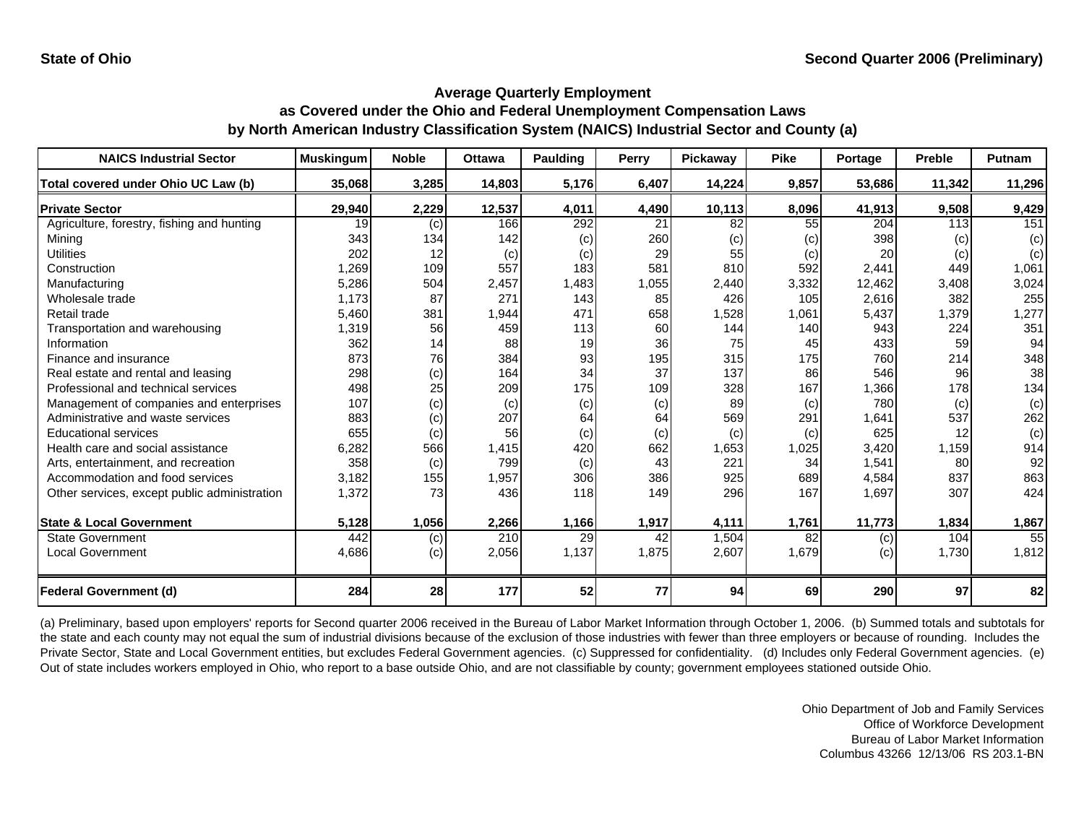| <b>NAICS Industrial Sector</b>               | <b>Muskingum</b> | <b>Noble</b> | <b>Ottawa</b> | <b>Paulding</b> | Perry | <b>Pickawav</b> | <b>Pike</b> | Portage | <b>Preble</b> | Putnam |
|----------------------------------------------|------------------|--------------|---------------|-----------------|-------|-----------------|-------------|---------|---------------|--------|
| Total covered under Ohio UC Law (b)          | 35,068           | 3,285        | 14,803        | 5,176           | 6,407 | 14,224          | 9,857       | 53,686  | 11,342        | 11,296 |
| <b>Private Sector</b>                        | 29,940           | 2,229        | 12,537        | 4,011           | 4,490 | 10,113          | 8,096       | 41,913  | 9,508         | 9,429  |
| Agriculture, forestry, fishing and hunting   | 19               | (c)          | 166           | 292             | 21    | 82              | 55          | 204     | 113           | 151    |
| Mining                                       | 343              | 134          | 142           | (c)             | 260   | (c)             | (c)         | 398     | (c)           | (c)    |
| <b>Utilities</b>                             | 202              | 12           | (c)           | (c)             | 29    | 55              | (c)         | 20      | (c)           | (c)    |
| Construction                                 | 1,269            | 109          | 557           | 183             | 581   | 810             | 592         | 2,441   | 449           | 1,061  |
| Manufacturing                                | 5,286            | 504          | 2,457         | 1,483           | 1,055 | 2,440           | 3,332       | 12,462  | 3,408         | 3,024  |
| Wholesale trade                              | 1,173            | 87           | 271           | 143             | 85    | 426             | 105         | 2,616   | 382           | 255    |
| Retail trade                                 | 5,460            | 381          | 1,944         | 471             | 658   | 1,528           | 1,061       | 5,437   | 1,379         | 1,277  |
| Transportation and warehousing               | 1,319            | 56           | 459           | 113             | 60    | 144             | 140         | 943     | 224           | 351    |
| Information                                  | 362              | 14           | 88            | 19              | 36    | 75              | 45          | 433     | 59            | 94     |
| Finance and insurance                        | 873              | 76           | 384           | 93              | 195   | 315             | 175         | 760     | 214           | 348    |
| Real estate and rental and leasing           | 298              | (c)          | 164           | 34              | 37    | 137             | 86          | 546     | 96            | 38     |
| Professional and technical services          | 498              | 25           | 209           | 175             | 109   | 328             | 167         | 1,366   | 178           | 134    |
| Management of companies and enterprises      | 107              | (c)          | (c)           | (c)             | (c)   | 89              | (c)         | 780     | (c)           | (c)    |
| Administrative and waste services            | 883              | (c)          | 207           | 64              | 64    | 569             | 291         | 1,641   | 537           | 262    |
| <b>Educational services</b>                  | 655              | (c)          | 56            | (c)             | (c)   | (c)             | (c)         | 625     | 12            | (c)    |
| Health care and social assistance            | 6.282            | 566          | 1,415         | 420             | 662   | 1,653           | 1,025       | 3,420   | 1,159         | 914    |
| Arts, entertainment, and recreation          | 358              | (c)          | 799           | (c)             | 43    | 221             | 34          | 1,541   | 80            | 92     |
| Accommodation and food services              | 3,182            | 155          | 1,957         | 306             | 386   | 925             | 689         | 4,584   | 837           | 863    |
| Other services, except public administration | 1,372            | 73           | 436           | 118             | 149   | 296             | 167         | 1,697   | 307           | 424    |
| <b>State &amp; Local Government</b>          | 5,128            | 1,056        | 2,266         | 1,166           | 1,917 | 4,111           | 1,761       | 11,773  | 1,834         | 1,867  |
| <b>State Government</b>                      | 442              | (c)          | 210           | 29              | 42    | 1,504           | 82          | (c)     | 104           | 55     |
| <b>Local Government</b>                      | 4,686            | (c)          | 2,056         | 1,137           | 1,875 | 2,607           | 1,679       | (c)     | 1,730         | 1,812  |
| <b>Federal Government (d)</b>                | 284              | 28           | 177           | 52              | 77    | 94              | 69          | 290     | 97            | 82     |

(a) Preliminary, based upon employers' reports for Second quarter 2006 received in the Bureau of Labor Market Information through October 1, 2006. (b) Summed totals and subtotals for the state and each county may not equal the sum of industrial divisions because of the exclusion of those industries with fewer than three employers or because of rounding. Includes the Private Sector, State and Local Government entities, but excludes Federal Government agencies. (c) Suppressed for confidentiality. (d) Includes only Federal Government agencies. (e) Out of state includes workers employed in Ohio, who report to a base outside Ohio, and are not classifiable by county; government employees stationed outside Ohio.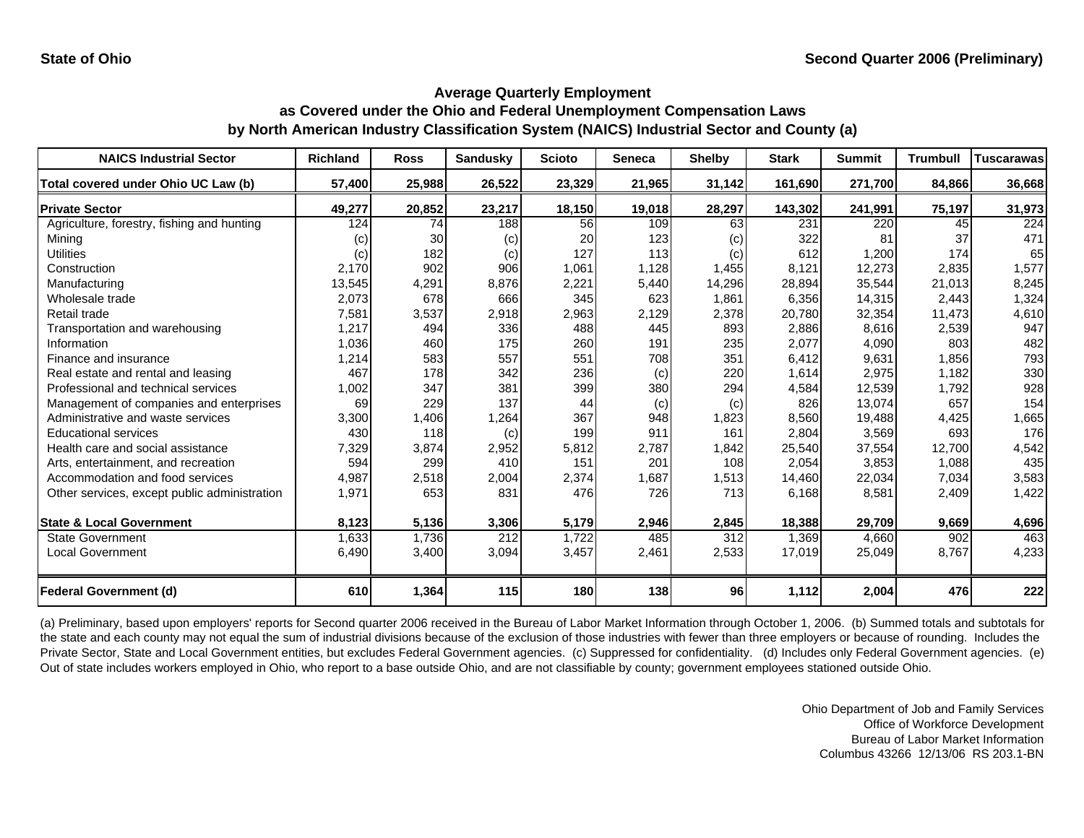| <b>NAICS Industrial Sector</b>               | <b>Richland</b> | <b>Ross</b> | <b>Sandusky</b> | <b>Scioto</b> | Seneca | <b>Shelby</b>     | <b>Stark</b> | <b>Summit</b> | <b>Trumbull</b> | <b>Tuscarawas</b> |
|----------------------------------------------|-----------------|-------------|-----------------|---------------|--------|-------------------|--------------|---------------|-----------------|-------------------|
| Total covered under Ohio UC Law (b)          | 57,400          | 25,988      | 26,522          | 23,329        | 21,965 | 31,142            | 161,690      | 271,700       | 84,866          | 36,668            |
| <b>Private Sector</b>                        | 49,277          | 20,852      | 23,217          | 18,150        | 19,018 | 28,297            | 143,302      | 241,991       | 75,197          | 31,973            |
| Agriculture, forestry, fishing and hunting   | 124             | 74          | 188             | 56            | 109    | 63                | 231          | 220           | 45              | $\overline{224}$  |
| Minina                                       | (c)             | 30          | (c)             | 20            | 123    | $\left( c\right)$ | 322          | 81            | 37              | 471               |
| <b>Utilities</b>                             | (c)             | 182         | (c)             | 127           | 113    | (c)               | 612          | 1,200         | 174             | 65                |
| Construction                                 | 2,170           | 902         | 906             | 1,061         | 1,128  | 1,455             | 8,121        | 12,273        | 2,835           | 1,577             |
| Manufacturing                                | 13,545          | 4,291       | 8,876           | 2,221         | 5,440  | 14,296            | 28,894       | 35,544        | 21,013          | 8,245             |
| Wholesale trade                              | 2,073           | 678         | 666             | 345           | 623    | 1,861             | 6,356        | 14,315        | 2,443           | 1,324             |
| Retail trade                                 | 7,581           | 3,537       | 2,918           | 2,963         | 2,129  | 2,378             | 20,780       | 32,354        | 11,473          | 4,610             |
| Transportation and warehousing               | 1,217           | 494         | 336             | 488           | 445    | 893               | 2,886        | 8,616         | 2,539           | 947               |
| Information                                  | 1,036           | 460         | 175             | 260           | 191    | 235               | 2,077        | 4,090         | 803             | 482               |
| Finance and insurance                        | 1,214           | 583         | 557             | 551           | 708    | 351               | 6,412        | 9,631         | 1,856           | 793               |
| Real estate and rental and leasing           | 467             | 178         | 342             | 236           | (c)    | 220               | 1,614        | 2,975         | 1,182           | 330               |
| Professional and technical services          | 1,002           | 347         | 381             | 399           | 380    | 294               | 4,584        | 12,539        | 1,792           | 928               |
| Management of companies and enterprises      | 69              | 229         | 137             | 44            | (c)    | (c)               | 826          | 13,074        | 657             | 154               |
| Administrative and waste services            | 3,300           | 1,406       | 1,264           | 367           | 948    | 1,823             | 8,560        | 19,488        | 4,425           | 1,665             |
| <b>Educational services</b>                  | 430             | 118         | (c)             | 199           | 911    | 161               | 2,804        | 3,569         | 693             | 176               |
| Health care and social assistance            | 7,329           | 3,874       | 2,952           | 5,812         | 2,787  | 1,842             | 25,540       | 37,554        | 12,700          | 4,542             |
| Arts, entertainment, and recreation          | 594             | 299         | 410             | 151           | 201    | 108               | 2,054        | 3,853         | 1,088           | 435               |
| Accommodation and food services              | 4,987           | 2,518       | 2,004           | 2,374         | 1,687  | 1,513             | 14,460       | 22,034        | 7,034           | 3,583             |
| Other services, except public administration | 1,971           | 653         | 831             | 476           | 726    | 713               | 6,168        | 8,581         | 2,409           | 1,422             |
|                                              |                 |             |                 |               |        |                   |              |               |                 |                   |
| <b>State &amp; Local Government</b>          | 8,123           | 5,136       | 3,306           | 5,179         | 2,946  | 2,845             | 18,388       | 29,709        | 9,669           | 4,696             |
| <b>State Government</b>                      | 1,633           | 1,736       | 212             | 1,722         | 485    | 312               | 1,369        | 4,660         | 902             | 463               |
| <b>Local Government</b>                      | 6,490           | 3,400       | 3,094           | 3,457         | 2,461  | 2,533             | 17,019       | 25,049        | 8,767           | 4,233             |
| <b>Federal Government (d)</b>                | 610             | 1,364       | 115             | 180           | 138    | 96                | 1,112        | 2,004         | 476             | 222               |

(a) Preliminary, based upon employers' reports for Second quarter 2006 received in the Bureau of Labor Market Information through October 1, 2006. (b) Summed totals and subtotals for the state and each county may not equal the sum of industrial divisions because of the exclusion of those industries with fewer than three employers or because of rounding. Includes the Private Sector, State and Local Government entities, but excludes Federal Government agencies. (c) Suppressed for confidentiality. (d) Includes only Federal Government agencies. (e) Out of state includes workers employed in Ohio, who report to a base outside Ohio, and are not classifiable by county; government employees stationed outside Ohio.